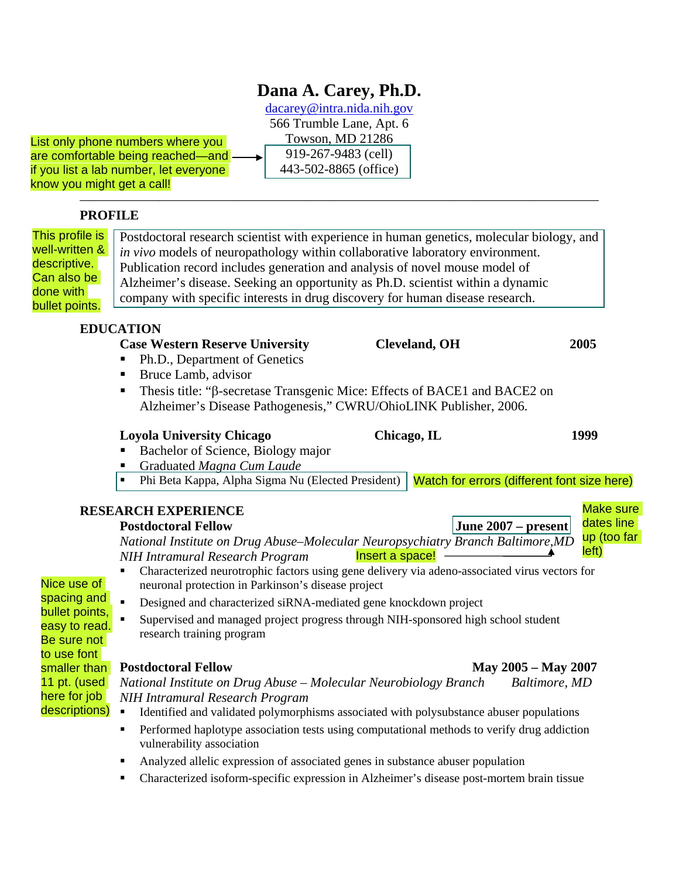# **Dana A. Carey, Ph.D.**

[dacarey@intra.nida.nih.gov](mailto:dacarey@intra.nida.nih.gov) 566 Trumble Lane, Apt. 6 Towson, MD 21286 919-267-9483 (cell) 443-502-8865 (office)

———————————————————————————————————————

List only phone numbers where you are comfortable being reached—and if you list a lab number, let everyone know you might get a call!

## **PROFILE**

| This profile is<br>well-written &<br>descriptive.<br>Can also be<br>done with<br>bullet points.             | Postdoctoral research scientist with experience in human genetics, molecular biology, and<br>in vivo models of neuropathology within collaborative laboratory environment.<br>Publication record includes generation and analysis of novel mouse model of<br>Alzheimer's disease. Seeking an opportunity as Ph.D. scientist within a dynamic<br>company with specific interests in drug discovery for human disease research. |                       |                                             |  |
|-------------------------------------------------------------------------------------------------------------|-------------------------------------------------------------------------------------------------------------------------------------------------------------------------------------------------------------------------------------------------------------------------------------------------------------------------------------------------------------------------------------------------------------------------------|-----------------------|---------------------------------------------|--|
|                                                                                                             | <b>EDUCATION</b>                                                                                                                                                                                                                                                                                                                                                                                                              |                       |                                             |  |
|                                                                                                             | <b>Case Western Reserve University</b>                                                                                                                                                                                                                                                                                                                                                                                        | <b>Cleveland</b> , OH | 2005                                        |  |
|                                                                                                             | Ph.D., Department of Genetics                                                                                                                                                                                                                                                                                                                                                                                                 |                       |                                             |  |
|                                                                                                             | Bruce Lamb, advisor<br>п                                                                                                                                                                                                                                                                                                                                                                                                      |                       |                                             |  |
|                                                                                                             | Thesis title: "β-secretase Transgenic Mice: Effects of BACE1 and BACE2 on<br>Alzheimer's Disease Pathogenesis," CWRU/OhioLINK Publisher, 2006.                                                                                                                                                                                                                                                                                |                       |                                             |  |
|                                                                                                             | <b>Loyola University Chicago</b>                                                                                                                                                                                                                                                                                                                                                                                              | Chicago, IL           | 1999                                        |  |
|                                                                                                             | Bachelor of Science, Biology major                                                                                                                                                                                                                                                                                                                                                                                            |                       |                                             |  |
|                                                                                                             | Graduated Magna Cum Laude                                                                                                                                                                                                                                                                                                                                                                                                     |                       |                                             |  |
|                                                                                                             | Phi Beta Kappa, Alpha Sigma Nu (Elected President)<br>٠                                                                                                                                                                                                                                                                                                                                                                       |                       | Watch for errors (different font size here) |  |
|                                                                                                             | <b>RESEARCH EXPERIENCE</b>                                                                                                                                                                                                                                                                                                                                                                                                    |                       | <b>Make sure</b>                            |  |
|                                                                                                             | <b>Postdoctoral Fellow</b>                                                                                                                                                                                                                                                                                                                                                                                                    |                       | dates line<br>June 2007 – present           |  |
|                                                                                                             | National Institute on Drug Abuse-Molecular Neuropsychiatry Branch Baltimore, MD                                                                                                                                                                                                                                                                                                                                               |                       | up (too far<br>left)                        |  |
|                                                                                                             | <b>NIH Intramural Research Program</b>                                                                                                                                                                                                                                                                                                                                                                                        | Insert a space!       |                                             |  |
| Nice use of<br>spacing and<br>bullet points,<br>easy to read.<br>Be sure not<br>to use font<br>smaller than | Characterized neurotrophic factors using gene delivery via adeno-associated virus vectors for<br>neuronal protection in Parkinson's disease project                                                                                                                                                                                                                                                                           |                       |                                             |  |
|                                                                                                             | Designed and characterized siRNA-mediated gene knockdown project<br>$\blacksquare$                                                                                                                                                                                                                                                                                                                                            |                       |                                             |  |
|                                                                                                             | Supervised and managed project progress through NIH-sponsored high school student                                                                                                                                                                                                                                                                                                                                             |                       |                                             |  |
|                                                                                                             | research training program                                                                                                                                                                                                                                                                                                                                                                                                     |                       |                                             |  |
|                                                                                                             | <b>Postdoctoral Fellow</b>                                                                                                                                                                                                                                                                                                                                                                                                    |                       | May 2005 - May 2007                         |  |
| 11 pt. (used                                                                                                | National Institute on Drug Abuse - Molecular Neurobiology Branch                                                                                                                                                                                                                                                                                                                                                              |                       | Baltimore, MD                               |  |
| here for job                                                                                                | <b>NIH Intramural Research Program</b>                                                                                                                                                                                                                                                                                                                                                                                        |                       |                                             |  |
| descriptions)                                                                                               | Identified and validated polymorphisms associated with polysubstance abuser populations<br>٠                                                                                                                                                                                                                                                                                                                                  |                       |                                             |  |
|                                                                                                             | Performed haplotype association tests using computational methods to verify drug addiction<br>vulnerability association                                                                                                                                                                                                                                                                                                       |                       |                                             |  |
|                                                                                                             | Analyzed allelic expression of associated genes in substance abuser population<br>٠                                                                                                                                                                                                                                                                                                                                           |                       |                                             |  |
|                                                                                                             | Characterized isoform-specific expression in Alzheimer's disease post-mortem brain tissue                                                                                                                                                                                                                                                                                                                                     |                       |                                             |  |
|                                                                                                             |                                                                                                                                                                                                                                                                                                                                                                                                                               |                       |                                             |  |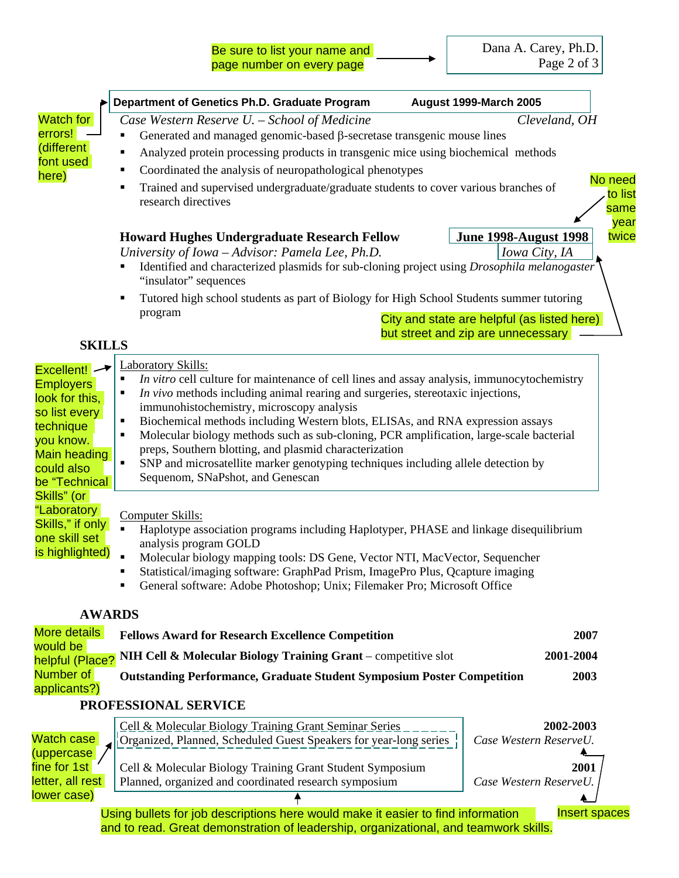|                                                                                                                                                            | Department of Genetics Ph.D. Graduate Program                                                                                                                                                                                                                                                                                                                                                                                                                                                                                                                                                                                                             | <b>August 1999-March 2005</b>                                                                                 |  |
|------------------------------------------------------------------------------------------------------------------------------------------------------------|-----------------------------------------------------------------------------------------------------------------------------------------------------------------------------------------------------------------------------------------------------------------------------------------------------------------------------------------------------------------------------------------------------------------------------------------------------------------------------------------------------------------------------------------------------------------------------------------------------------------------------------------------------------|---------------------------------------------------------------------------------------------------------------|--|
| <b>Watch for</b><br>errors!<br>(different<br>font used<br>here)                                                                                            | Case Western Reserve U. - School of Medicine<br>Generated and managed genomic-based $\beta$ -secretase transgenic mouse lines<br>Analyzed protein processing products in transgenic mice using biochemical methods<br>Coordinated the analysis of neuropathological phenotypes<br>Trained and supervised undergraduate/graduate students to cover various branches of<br>research directives<br><b>Howard Hughes Undergraduate Research Fellow</b><br>University of Iowa - Advisor: Pamela Lee, Ph.D.<br>Identified and characterized plasmids for sub-cloning project using Drosophila melanogaster<br>"insulator" sequences                             | Cleveland, OH<br>No need<br>to list<br>same<br>year<br>twice<br><b>June 1998-August 1998</b><br>Iowa City, IA |  |
|                                                                                                                                                            | Tutored high school students as part of Biology for High School Students summer tutoring<br>program                                                                                                                                                                                                                                                                                                                                                                                                                                                                                                                                                       | City and state are helpful (as listed here)<br>but street and zip are unnecessary                             |  |
| <b>SKILLS</b>                                                                                                                                              |                                                                                                                                                                                                                                                                                                                                                                                                                                                                                                                                                                                                                                                           |                                                                                                               |  |
| <b>Excellent!</b> -<br><b>Employers</b><br>look for this,<br>so list every<br>technique<br>you know.<br><b>Main heading</b><br>could also<br>be "Technical | Laboratory Skills:<br><i>In vitro</i> cell culture for maintenance of cell lines and assay analysis, immunocytochemistry<br>٠<br>In vivo methods including animal rearing and surgeries, stereotaxic injections,<br>immunohistochemistry, microscopy analysis<br>Biochemical methods including Western blots, ELISAs, and RNA expression assays<br>٠<br>Molecular biology methods such as sub-cloning, PCR amplification, large-scale bacterial<br>$\blacksquare$<br>preps, Southern blotting, and plasmid characterization<br>٠<br>SNP and microsatellite marker genotyping techniques including allele detection by<br>Sequenom, SNaPshot, and Genescan |                                                                                                               |  |
| Skills" (or<br>"Laboratory<br>Skills," if only<br>one skill set<br>is highlighted)                                                                         | Haplotype association programs including Haplotyper, PHASE and linkage disequilibrium<br>Molecular biology mapping tools: DS Gene, Vector NTI, MacVector, Sequencher<br>Statistical/imaging software: GraphPad Prism, ImagePro Plus, Qcapture imaging<br>General software: Adobe Photoshop; Unix; Filemaker Pro; Microsoft Office                                                                                                                                                                                                                                                                                                                         |                                                                                                               |  |
| <b>AWARDS</b>                                                                                                                                              |                                                                                                                                                                                                                                                                                                                                                                                                                                                                                                                                                                                                                                                           |                                                                                                               |  |
| More details                                                                                                                                               | <b>Fellows Award for Research Excellence Competition</b>                                                                                                                                                                                                                                                                                                                                                                                                                                                                                                                                                                                                  | 2007                                                                                                          |  |
| would be<br>helpful (Place?                                                                                                                                | 2001-2004<br>NIH Cell & Molecular Biology Training Grant – competitive slot                                                                                                                                                                                                                                                                                                                                                                                                                                                                                                                                                                               |                                                                                                               |  |
| Number of<br>applicants?)                                                                                                                                  | <b>Outstanding Performance, Graduate Student Symposium Poster Competition</b>                                                                                                                                                                                                                                                                                                                                                                                                                                                                                                                                                                             | 2003                                                                                                          |  |
|                                                                                                                                                            | PROFESSIONAL SERVICE                                                                                                                                                                                                                                                                                                                                                                                                                                                                                                                                                                                                                                      |                                                                                                               |  |
| Watch case<br>(uppercase                                                                                                                                   | Cell & Molecular Biology Training Grant Seminar Series<br>Organized, Planned, Scheduled Guest Speakers for year-long series                                                                                                                                                                                                                                                                                                                                                                                                                                                                                                                               | 2002-2003<br>Case Western ReserveU.                                                                           |  |
| fine for 1st<br>letter, all rest<br>lower case)                                                                                                            | Cell & Molecular Biology Training Grant Student Symposium<br>Planned, organized and coordinated research symposium                                                                                                                                                                                                                                                                                                                                                                                                                                                                                                                                        | 2001<br>Case Western ReserveU.                                                                                |  |
|                                                                                                                                                            | Using bullets for job descriptions here would make it easier to find information                                                                                                                                                                                                                                                                                                                                                                                                                                                                                                                                                                          | <b>Insert spaces</b>                                                                                          |  |

and to read. Great demonstration of leadership, organizational, and teamwork skills.